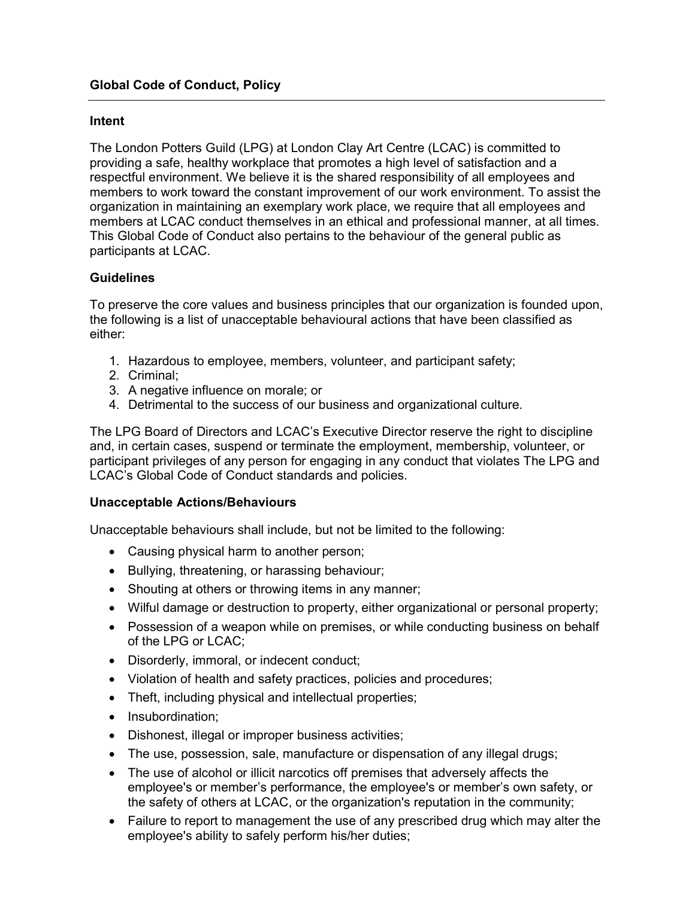## Intent

The London Potters Guild (LPG) at London Clay Art Centre (LCAC) is committed to providing a safe, healthy workplace that promotes a high level of satisfaction and a respectful environment. We believe it is the shared responsibility of all employees and members to work toward the constant improvement of our work environment. To assist the organization in maintaining an exemplary work place, we require that all employees and members at LCAC conduct themselves in an ethical and professional manner, at all times. This Global Code of Conduct also pertains to the behaviour of the general public as participants at LCAC.

## **Guidelines**

To preserve the core values and business principles that our organization is founded upon, the following is a list of unacceptable behavioural actions that have been classified as either:

- 1. Hazardous to employee, members, volunteer, and participant safety;
- 2. Criminal;
- 3. A negative influence on morale; or
- 4. Detrimental to the success of our business and organizational culture.

The LPG Board of Directors and LCAC's Executive Director reserve the right to discipline and, in certain cases, suspend or terminate the employment, membership, volunteer, or participant privileges of any person for engaging in any conduct that violates The LPG and LCAC's Global Code of Conduct standards and policies.

#### Unacceptable Actions/Behaviours

Unacceptable behaviours shall include, but not be limited to the following:

- Causing physical harm to another person;
- Bullying, threatening, or harassing behaviour;
- Shouting at others or throwing items in any manner;
- Wilful damage or destruction to property, either organizational or personal property;
- Possession of a weapon while on premises, or while conducting business on behalf of the LPG or LCAC;
- Disorderly, immoral, or indecent conduct;
- Violation of health and safety practices, policies and procedures;
- Theft, including physical and intellectual properties;
- Insubordination;
- Dishonest, illegal or improper business activities;
- The use, possession, sale, manufacture or dispensation of any illegal drugs;
- The use of alcohol or illicit narcotics off premises that adversely affects the employee's or member's performance, the employee's or member's own safety, or the safety of others at LCAC, or the organization's reputation in the community;
- Failure to report to management the use of any prescribed drug which may alter the employee's ability to safely perform his/her duties;